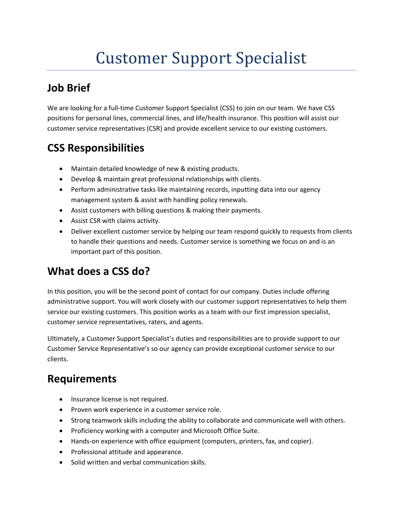# Customer Support Specialist

## **Job Brief**

We are looking for a full-time Customer Support Specialist (CSS) to join on our team. We have CSS positions for personal lines, commercial lines, and life/health insurance. This position will assist our customer service representatives (CSR) and provide excellent service to our existing customers.

# **CSS Responsibilities**

- Maintain detailed knowledge of new & existing products.
- Develop & maintain great professional relationships with clients.
- Perform administrative tasks like maintaining records, inputting data into our agency management system & assist with handling policy renewals.
- Assist customers with billing questions & making their payments.
- Assist CSR with claims activity.
- Deliver excellent customer service by helping our team respond quickly to requests from clients to handle their questions and needs. Customer service is something we focus on and is an important part of this position.

# **What does a CSS do?**

In this position, you will be the second point of contact for our company. Duties include offering administrative support. You will work closely with our customer support representatives to help them service our existing customers. This position works as a team with our first impression specialist, customer service representatives, raters, and agents.

Ultimately, a Customer Support Specialist's duties and responsibilities are to provide support to our Customer Service Representative's so our agency can provide exceptional customer service to our clients.

### **Requirements**

- Insurance license is not required.
- Proven work experience in a customer service role.
- Strong teamwork skills including the ability to collaborate and communicate well with others.
- Proficiency working with a computer and Microsoft Office Suite.
- Hands-on experience with office equipment (computers, printers, fax, and copier).
- Professional attitude and appearance.
- Solid written and verbal communication skills.